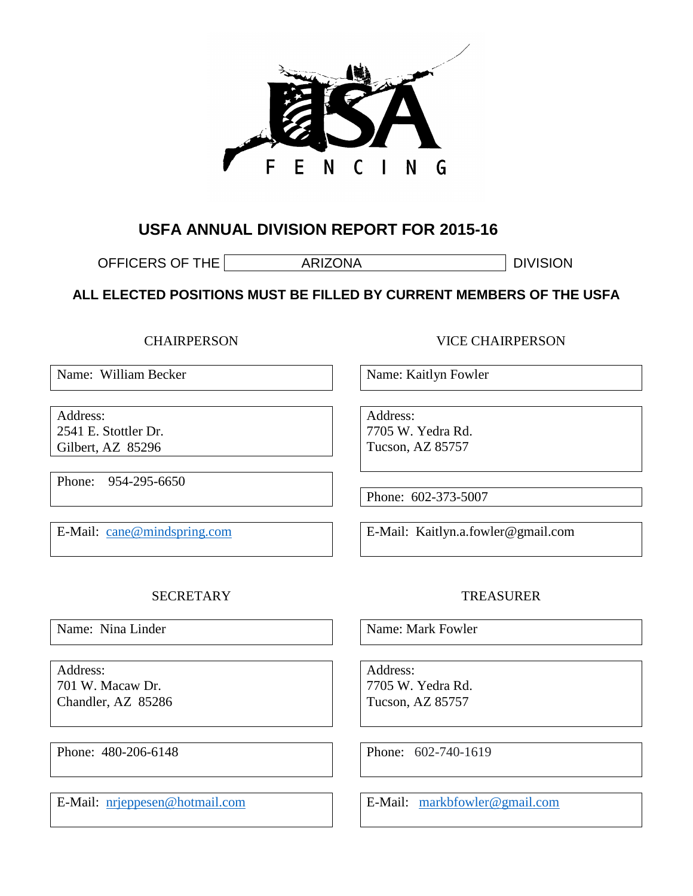

# **USFA ANNUAL DIVISION REPORT FOR 2015-16**

OFFICERS OF THE **ARIZONA** DIVISION

**ALL ELECTED POSITIONS MUST BE FILLED BY CURRENT MEMBERS OF THE USFA** 

**CHAIRPERSON** 

Name: William Becker

Address: 2541 E. Stottler Dr. Gilbert, AZ 85296

Phone: 954-295-6650

E-Mail: [cane@mindspring.com](mailto:cane@mindspring.com)

VICE CHAIRPERSON

Name: Kaitlyn Fowler

Address: 7705 W. Yedra Rd. Tucson, AZ 85757

Phone: 602-373-5007

E-Mail: Kaitlyn.a.fowler@gmail.com

#### **SECRETARY**

Name: Nina Linder

Address: 701 W. Macaw Dr. Chandler, AZ 85286

Phone: 480-206-6148

E-Mail: [nrjeppesen@hotmail.com](mailto:nrjeppesen@hotmail.com)

## TREASURER

Name: Mark Fowler

Address: 7705 W. Yedra Rd. Tucson, AZ 85757

Phone: 602-740-1619

E-Mail: [markbfowler@gmail.com](mailto:markbfowler@gmail.com)